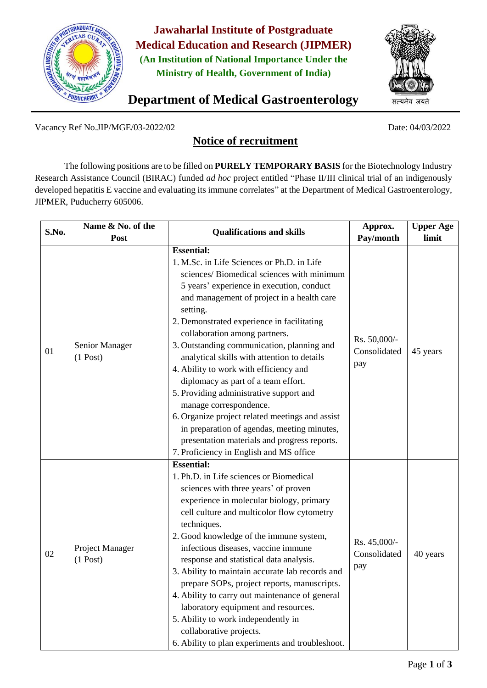

**Jawaharlal Institute of Postgraduate Medical Education and Research (JIPMER) (An Institution of National Importance Under the Ministry of Health, Government of India)**



**Department of Medical Gastroenterology** 

Vacancy Ref No.JIP/MGE/03-2022/02 Date: 04/03/2022

## **Notice of recruitment**

The following positions are to be filled on **PURELY TEMPORARY BASIS** for the Biotechnology Industry Research Assistance Council (BIRAC) funded *ad hoc* project entitled "Phase II/III clinical trial of an indigenously developed hepatitis E vaccine and evaluating its immune correlates" at the Department of Medical Gastroenterology, JIPMER, Puducherry 605006.

| S.No. | Name & No. of the<br>Post     | <b>Qualifications and skills</b>                                                                                                                                                                                                                                                                                                                                                                                                                                                                                                                                                                                                                                                                                                                   | Approx.<br>Pay/month                | <b>Upper Age</b><br>limit |
|-------|-------------------------------|----------------------------------------------------------------------------------------------------------------------------------------------------------------------------------------------------------------------------------------------------------------------------------------------------------------------------------------------------------------------------------------------------------------------------------------------------------------------------------------------------------------------------------------------------------------------------------------------------------------------------------------------------------------------------------------------------------------------------------------------------|-------------------------------------|---------------------------|
| 01    | Senior Manager<br>$(1$ Post)  | <b>Essential:</b><br>1. M.Sc. in Life Sciences or Ph.D. in Life<br>sciences/Biomedical sciences with minimum<br>5 years' experience in execution, conduct<br>and management of project in a health care<br>setting.<br>2. Demonstrated experience in facilitating<br>collaboration among partners.<br>3. Outstanding communication, planning and<br>analytical skills with attention to details<br>4. Ability to work with efficiency and<br>diplomacy as part of a team effort.<br>5. Providing administrative support and<br>manage correspondence.<br>6. Organize project related meetings and assist<br>in preparation of agendas, meeting minutes,<br>presentation materials and progress reports.<br>7. Proficiency in English and MS office | Rs. 50,000/-<br>Consolidated<br>pay | 45 years                  |
| 02    | Project Manager<br>$(1$ Post) | <b>Essential:</b><br>1. Ph.D. in Life sciences or Biomedical<br>sciences with three years' of proven<br>experience in molecular biology, primary<br>cell culture and multicolor flow cytometry<br>techniques.<br>2. Good knowledge of the immune system,<br>infectious diseases, vaccine immune<br>response and statistical data analysis.<br>3. Ability to maintain accurate lab records and<br>prepare SOPs, project reports, manuscripts.<br>4. Ability to carry out maintenance of general<br>laboratory equipment and resources.<br>5. Ability to work independently in<br>collaborative projects.<br>6. Ability to plan experiments and troubleshoot.                                                                                        | Rs. 45,000/-<br>Consolidated<br>pay | 40 years                  |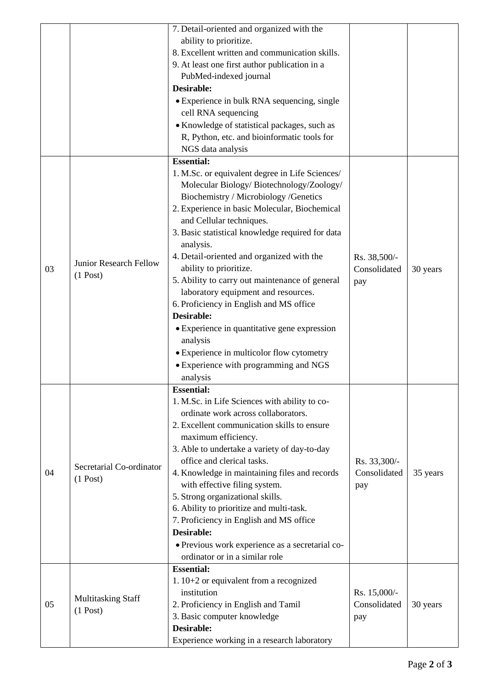|    |                                         | 7. Detail-oriented and organized with the        |              |          |
|----|-----------------------------------------|--------------------------------------------------|--------------|----------|
|    |                                         | ability to prioritize.                           |              |          |
|    |                                         | 8. Excellent written and communication skills.   |              |          |
|    |                                         | 9. At least one first author publication in a    |              |          |
|    |                                         | PubMed-indexed journal                           |              |          |
|    |                                         | <b>Desirable:</b>                                |              |          |
|    |                                         | • Experience in bulk RNA sequencing, single      |              |          |
|    |                                         | cell RNA sequencing                              |              |          |
|    |                                         | · Knowledge of statistical packages, such as     |              |          |
|    |                                         | R, Python, etc. and bioinformatic tools for      |              |          |
|    |                                         | NGS data analysis                                |              |          |
|    |                                         | <b>Essential:</b>                                |              |          |
|    | Junior Research Fellow<br>$(1$ Post)    | 1. M.Sc. or equivalent degree in Life Sciences/  |              |          |
|    |                                         | Molecular Biology/Biotechnology/Zoology/         |              |          |
|    |                                         | Biochemistry / Microbiology / Genetics           |              |          |
|    |                                         | 2. Experience in basic Molecular, Biochemical    |              |          |
|    |                                         | and Cellular techniques.                         |              |          |
|    |                                         | 3. Basic statistical knowledge required for data |              |          |
|    |                                         | analysis.                                        |              |          |
|    |                                         | 4. Detail-oriented and organized with the        | Rs. 38,500/- |          |
| 03 |                                         | ability to prioritize.                           | Consolidated | 30 years |
|    |                                         | 5. Ability to carry out maintenance of general   | pay          |          |
|    |                                         | laboratory equipment and resources.              |              |          |
|    |                                         | 6. Proficiency in English and MS office          |              |          |
|    |                                         | <b>Desirable:</b>                                |              |          |
|    |                                         | • Experience in quantitative gene expression     |              |          |
|    |                                         | analysis                                         |              |          |
|    |                                         | • Experience in multicolor flow cytometry        |              |          |
|    |                                         | • Experience with programming and NGS            |              |          |
|    |                                         | analysis                                         |              |          |
|    |                                         | <b>Essential:</b>                                |              |          |
|    |                                         | 1. M.Sc. in Life Sciences with ability to co-    |              |          |
|    | Secretarial Co-ordinator<br>$(1$ Post)  | ordinate work across collaborators.              |              |          |
|    |                                         | 2. Excellent communication skills to ensure      |              |          |
|    |                                         | maximum efficiency.                              |              |          |
| 04 |                                         | 3. Able to undertake a variety of day-to-day     |              |          |
|    |                                         | office and clerical tasks.                       | Rs. 33,300/- |          |
|    |                                         | 4. Knowledge in maintaining files and records    | Consolidated | 35 years |
|    |                                         | with effective filing system.                    | pay          |          |
|    |                                         | 5. Strong organizational skills.                 |              |          |
|    |                                         | 6. Ability to prioritize and multi-task.         |              |          |
|    |                                         | 7. Proficiency in English and MS office          |              |          |
|    |                                         | <b>Desirable:</b>                                |              |          |
|    |                                         | · Previous work experience as a secretarial co-  |              |          |
|    |                                         | ordinator or in a similar role                   |              |          |
|    |                                         | <b>Essential:</b>                                |              |          |
| 05 | <b>Multitasking Staff</b><br>$(1$ Post) | 1. $10+2$ or equivalent from a recognized        |              |          |
|    |                                         | institution                                      | Rs. 15,000/- |          |
|    |                                         | 2. Proficiency in English and Tamil              | Consolidated | 30 years |
|    |                                         | 3. Basic computer knowledge                      | pay          |          |
|    |                                         | <b>Desirable:</b>                                |              |          |
|    |                                         | Experience working in a research laboratory      |              |          |
|    |                                         |                                                  |              |          |